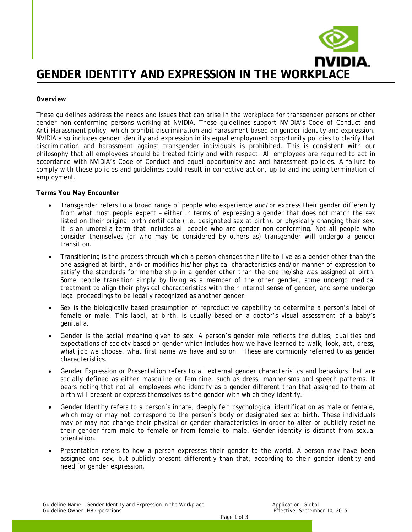

#### *Overview*

These guidelines address the needs and issues that can arise in the workplace for transgender persons or other gender non-conforming persons working at NVIDIA. These guidelines support NVIDIA's Code of Conduct and Anti-Harassment policy, which prohibit discrimination and harassment based on gender identity and expression. NVIDIA also includes gender identity and expression in its equal employment opportunity policies to clarify that discrimination and harassment against transgender individuals is prohibited. This is consistent with our philosophy that all employees should be treated fairly and with respect. All employees are required to act in accordance with NVIDIA's Code of Conduct and equal opportunity and anti-harassment policies. A failure to comply with these policies and guidelines could result in corrective action, up to and including termination of employment.

## *Terms You May Encounter*

- Transgender refers to a broad range of people who experience and/or express their gender differently from what most people expect – either in terms of expressing a gender that does not match the sex listed on their original birth certificate (i.e. designated sex at birth), or physically changing their sex. It is an umbrella term that includes all people who are gender non-conforming. Not all people who consider themselves (or who may be considered by others as) transgender will undergo a gender transition.
- Transitioning is the process through which a person changes their life to live as a gender other than the one assigned at birth, and/or modifies his/her physical characteristics and/or manner of expression to satisfy the standards for membership in a gender other than the one he/she was assigned at birth. Some people transition simply by living as a member of the other gender, some undergo medical treatment to align their physical characteristics with their internal sense of gender, and some undergo legal proceedings to be legally recognized as another gender.
- Sex is the biologically based presumption of reproductive capability to determine a person's label of female or male. This label, at birth, is usually based on a doctor's visual assessment of a baby's genitalia.
- Gender is the social meaning given to sex. A person's gender role reflects the duties, qualities and expectations of society based on gender which includes how we have learned to walk, look, act, dress, what job we choose, what first name we have and so on. These are commonly referred to as gender characteristics.
- Gender Expression or Presentation refers to all external gender characteristics and behaviors that are socially defined as either masculine or feminine, such as dress, mannerisms and speech patterns. It bears noting that not all employees who identify as a gender different than that assigned to them at birth will present or express themselves as the gender with which they identify.
- Gender Identity refers to a person's innate, deeply felt psychological identification as male or female, which may or may not correspond to the person's body or designated sex at birth. These individuals may or may not change their physical or gender characteristics in order to alter or publicly redefine their gender from male to female or from female to male. Gender identity is distinct from sexual orientation.
- Presentation refers to how a person expresses their gender to the world. A person may have been assigned one sex, but publicly present differently than that, according to their gender identity and need for gender expression.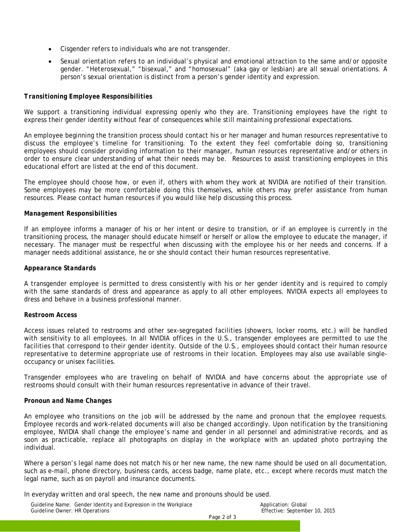- Cisgender refers to individuals who are not transgender.
- Sexual orientation refers to an individual's physical and emotional attraction to the same and/or opposite gender. "Heterosexual," "bisexual," and "homosexual" (aka gay or lesbian) are all sexual orientations. A person's sexual orientation is distinct from a person's gender identity and expression.

#### *Transitioning Employee Responsibilities*

We support a transitioning individual expressing openly who they are. Transitioning employees have the right to express their gender identity without fear of consequences while still maintaining professional expectations.

An employee beginning the transition process should contact his or her manager and human resources representative to discuss the employee's timeline for transitioning. To the extent they feel comfortable doing so, transitioning employees should consider providing information to their manager, human resources representative and/or others in order to ensure clear understanding of what their needs may be. Resources to assist transitioning employees in this educational effort are listed at the end of this document.

The employee should choose how, or even if, others with whom they work at NVIDIA are notified of their transition. Some employees may be more comfortable doing this themselves, while others may prefer assistance from human resources. Please contact human resources if you would like help discussing this process.

#### *Management Responsibilities*

If an employee informs a manager of his or her intent or desire to transition, or if an employee is currently in the transitioning process, the manager should educate himself or herself or allow the employee to educate the manager, if necessary. The manager must be respectful when discussing with the employee his or her needs and concerns. If a manager needs additional assistance, he or she should contact their human resources representative.

#### *Appearance Standards*

A transgender employee is permitted to dress consistently with his or her gender identity and is required to comply with the same standards of dress and appearance as apply to all other employees. NVIDIA expects all employees to dress and behave in a business professional manner.

#### *Restroom Access*

Access issues related to restrooms and other sex-segregated facilities (showers, locker rooms, etc.) will be handled with sensitivity to all employees. In all NVIDIA offices in the U.S., transgender employees are permitted to use the facilities that correspond to their gender identity. Outside of the U.S., employees should contact their human resource representative to determine appropriate use of restrooms in their location. Employees may also use available singleoccupancy or unisex facilities.

Transgender employees who are traveling on behalf of NVIDIA and have concerns about the appropriate use of restrooms should consult with their human resources representative in advance of their travel.

#### *Pronoun and Name Changes*

An employee who transitions on the job will be addressed by the name and pronoun that the employee requests. Employee records and work-related documents will also be changed accordingly. Upon notification by the transitioning employee, NVIDIA shall change the employee's name and gender in all personnel and administrative records, and as soon as practicable, replace all photographs on display in the workplace with an updated photo portraying the individual.

Where a person's legal name does not match his or her new name, the new name should be used on all documentation, such as e-mail, phone directory, business cards, access badge, name plate, etc., except where records must match the legal name, such as on payroll and insurance documents.

In everyday written and oral speech, the new name and pronouns should be used.

| Guideline Name: Gender Identity and Expression in the Workplace<br>Guideline Owner: HR Operations |             | Application: Global<br>Effective: September 10, 2015 |
|---------------------------------------------------------------------------------------------------|-------------|------------------------------------------------------|
|                                                                                                   | Page 2 of 3 |                                                      |